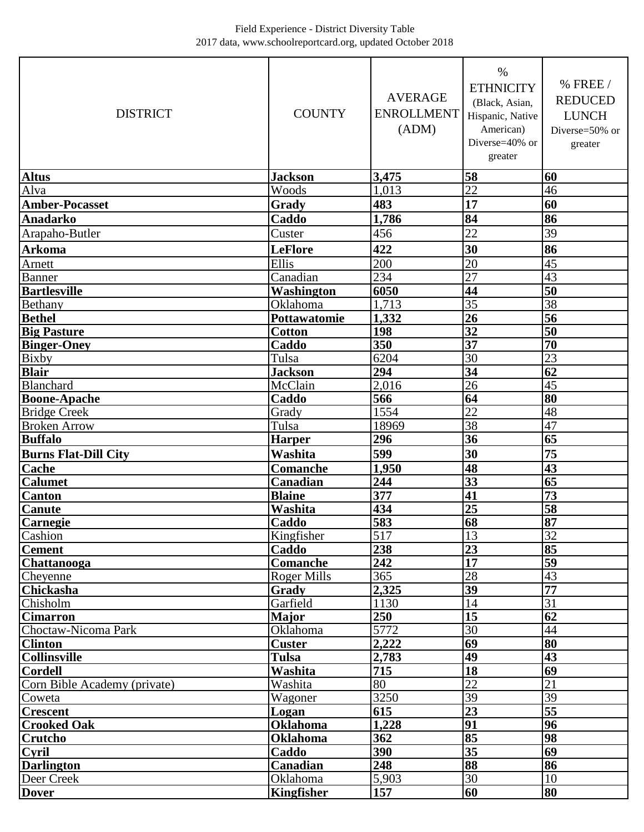## Field Experience - District Diversity Table 2017 data, www.schoolreportcard.org, updated October 2018

| <b>DISTRICT</b>              | <b>COUNTY</b>      | <b>AVERAGE</b><br><b>ENROLLMENT</b><br>(ADM) | $\%$<br><b>ETHNICITY</b><br>(Black, Asian,<br>Hispanic, Native<br>American)<br>Diverse=40% or<br>greater | % FREE /<br><b>REDUCED</b><br><b>LUNCH</b><br>Diverse=50% or<br>greater |
|------------------------------|--------------------|----------------------------------------------|----------------------------------------------------------------------------------------------------------|-------------------------------------------------------------------------|
| <b>Altus</b>                 | <b>Jackson</b>     | 3,475                                        | 58                                                                                                       | 60                                                                      |
| Alva                         | Woods              | 1,013                                        | $\overline{22}$                                                                                          | 46                                                                      |
| <b>Amber-Pocasset</b>        | Grady              | 483                                          | 17                                                                                                       | 60                                                                      |
| <b>Anadarko</b>              | Caddo              | 1,786                                        | 84                                                                                                       | 86                                                                      |
| Arapaho-Butler               | Custer             | 456                                          | 22                                                                                                       | 39                                                                      |
| <b>Arkoma</b>                | <b>LeFlore</b>     | 422                                          | 30                                                                                                       | 86                                                                      |
| Arnett                       | Ellis              | 200                                          | $\overline{20}$                                                                                          | 45                                                                      |
| <b>Banner</b>                | Canadian           | 234                                          | $\overline{27}$                                                                                          | 43                                                                      |
| <b>Bartlesville</b>          | Washington         | 6050                                         | 44                                                                                                       | 50                                                                      |
| Bethany                      | Oklahoma           | 1,713                                        | $\overline{35}$                                                                                          | 38                                                                      |
| <b>Bethel</b>                | Pottawatomie       | 1,332                                        | 26                                                                                                       | 56                                                                      |
| <b>Big Pasture</b>           | <b>Cotton</b>      | 198                                          | $\overline{32}$                                                                                          | $\overline{50}$                                                         |
| <b>Binger-Oney</b>           | Caddo              | 350                                          | $\overline{37}$                                                                                          | 70                                                                      |
| <b>Bixby</b>                 | Tulsa              | 6204                                         | $\overline{30}$                                                                                          | $\overline{23}$                                                         |
| <b>Blair</b>                 | <b>Jackson</b>     | 294                                          | 34                                                                                                       | 62                                                                      |
| Blanchard                    | McClain            | 2,016                                        | $\overline{26}$                                                                                          | 45                                                                      |
| <b>Boone-Apache</b>          | Caddo              | 566                                          | 64                                                                                                       | 80                                                                      |
| <b>Bridge Creek</b>          | Grady              | 1554                                         | 22                                                                                                       | 48                                                                      |
| <b>Broken Arrow</b>          | Tulsa              | 18969                                        | $\overline{38}$                                                                                          | $\overline{47}$                                                         |
| <b>Buffalo</b>               | <b>Harper</b>      | 296                                          | $\overline{36}$                                                                                          | $\overline{65}$                                                         |
| <b>Burns Flat-Dill City</b>  | Washita            | 599                                          | 30                                                                                                       | 75                                                                      |
| <b>Cache</b>                 | <b>Comanche</b>    | 1,950                                        | 48                                                                                                       | 43                                                                      |
| <b>Calumet</b>               | Canadian           | 244                                          | $\overline{33}$                                                                                          | 65                                                                      |
| Canton                       | <b>Blaine</b>      | 377                                          | 41                                                                                                       | 73                                                                      |
| <b>Canute</b>                | Washita            | 434                                          | 25                                                                                                       | 58                                                                      |
| Carnegie                     | Caddo              | 583                                          | $\overline{68}$                                                                                          | 87                                                                      |
| Cashion                      | Kingfisher         | 517                                          | 13                                                                                                       | 32                                                                      |
| <b>Cement</b>                | Caddo              | 238                                          | 23                                                                                                       | 85                                                                      |
| Chattanooga                  | <b>Comanche</b>    | 242                                          | $\overline{17}$                                                                                          | 59                                                                      |
| Cheyenne                     | <b>Roger Mills</b> | 365                                          | 28                                                                                                       | 43                                                                      |
| <b>Chickasha</b>             | Grady              | 2,325                                        | $\overline{39}$                                                                                          | $\overline{77}$                                                         |
| Chisholm                     | Garfield           | 1130                                         | 14                                                                                                       | $\overline{31}$                                                         |
| <b>Cimarron</b>              | <b>Major</b>       | 250                                          | $\overline{15}$                                                                                          | 62                                                                      |
| Choctaw-Nicoma Park          | Oklahoma           | 5772                                         | $\overline{30}$                                                                                          | 44                                                                      |
| <b>Clinton</b>               | <b>Custer</b>      | 2,222                                        | $\overline{69}$                                                                                          | 80                                                                      |
| <b>Collinsville</b>          | Tulsa              | 2,783                                        | 49                                                                                                       | 43                                                                      |
| <b>Cordell</b>               | Washita            | 715                                          | $\overline{18}$                                                                                          | 69                                                                      |
| Corn Bible Academy (private) | Washita            | 80                                           | $\overline{22}$                                                                                          | $\overline{21}$                                                         |
| Coweta                       | Wagoner            | 3250                                         | 39                                                                                                       | $\overline{39}$                                                         |
| <b>Crescent</b>              | Logan              | 615                                          | $\overline{23}$                                                                                          | $\overline{55}$                                                         |
| <b>Crooked Oak</b>           | <b>Oklahoma</b>    | 1,228                                        | 91                                                                                                       | 96                                                                      |
| <b>Crutcho</b>               | <b>Oklahoma</b>    | 362                                          | 85                                                                                                       | 98                                                                      |
| Cyril                        | Caddo              | 390                                          | $\overline{35}$                                                                                          | 69                                                                      |
| <b>Darlington</b>            | Canadian           | 248                                          | 88                                                                                                       | 86                                                                      |
| Deer Creek                   | Oklahoma           | 5,903                                        | 30                                                                                                       | 10                                                                      |
| <b>Dover</b>                 | <b>Kingfisher</b>  | 157                                          | 60                                                                                                       | 80                                                                      |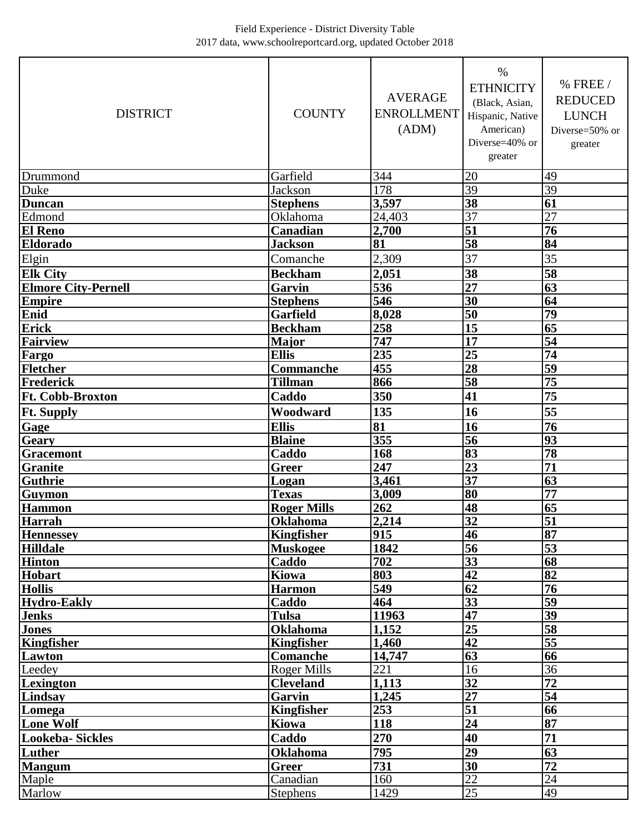## Field Experience - District Diversity Table 2017 data, www.schoolreportcard.org, updated October 2018

| <b>DISTRICT</b>            | <b>COUNTY</b>      | <b>AVERAGE</b><br><b>ENROLLMENT</b><br>(ADM) | $\%$<br><b>ETHNICITY</b><br>(Black, Asian,<br>Hispanic, Native<br>American)<br>Diverse=40% or<br>greater | % FREE /<br><b>REDUCED</b><br><b>LUNCH</b><br>Diverse=50% or<br>greater |
|----------------------------|--------------------|----------------------------------------------|----------------------------------------------------------------------------------------------------------|-------------------------------------------------------------------------|
| Drummond                   | Garfield           | 344                                          | 20                                                                                                       | 49                                                                      |
| Duke                       | <b>Jackson</b>     | 178                                          | $\overline{39}$                                                                                          | 39                                                                      |
| <b>Duncan</b>              | <b>Stephens</b>    | 3,597                                        | 38                                                                                                       | 61                                                                      |
| Edmond                     | Oklahoma           | $\overline{2}4,403$                          | $\overline{37}$                                                                                          | $\overline{27}$                                                         |
| <b>El Reno</b>             | Canadian           | 2,700                                        | 51                                                                                                       | $\overline{76}$                                                         |
| <b>Eldorado</b>            | <b>Jackson</b>     | 81                                           | $\overline{58}$                                                                                          | 84                                                                      |
| Elgin                      | Comanche           | 2,309                                        | 37                                                                                                       | 35                                                                      |
| <b>Elk City</b>            | <b>Beckham</b>     | 2,051                                        | 38                                                                                                       | $\overline{58}$                                                         |
| <b>Elmore City-Pernell</b> | Garvin             | 536                                          | $\overline{27}$                                                                                          | 63                                                                      |
| <b>Empire</b>              | <b>Stephens</b>    | 546                                          | $\overline{30}$                                                                                          | 64                                                                      |
| Enid                       | <b>Garfield</b>    | 8,028                                        | $\overline{50}$                                                                                          | 79                                                                      |
| <b>Erick</b>               | <b>Beckham</b>     | 258                                          | 15                                                                                                       | 65                                                                      |
| <b>Fairview</b>            | <b>Major</b>       | 747                                          | $\overline{17}$                                                                                          | 54                                                                      |
| Fargo                      | <b>Ellis</b>       | 235                                          | $\overline{25}$                                                                                          | $\overline{74}$                                                         |
| Fletcher                   | Commanche          | 455                                          | $\overline{28}$                                                                                          | $\overline{59}$                                                         |
| Frederick                  | Tillman            | 866                                          | $\overline{58}$                                                                                          | $\overline{75}$                                                         |
| <b>Ft. Cobb-Broxton</b>    | Caddo              | 350                                          | 41                                                                                                       | 75                                                                      |
| <b>Ft. Supply</b>          | Woodward           | 135                                          | 16                                                                                                       | 55                                                                      |
| Gage                       | <b>Ellis</b>       | 81                                           | 16                                                                                                       | $\overline{76}$                                                         |
| Geary                      | <b>Blaine</b>      | 355                                          | 56                                                                                                       | $\overline{93}$                                                         |
| <b>Gracemont</b>           | Caddo              | 168                                          | 83                                                                                                       | 78                                                                      |
| <b>Granite</b>             | <b>Greer</b>       | 247                                          | $\overline{23}$                                                                                          | 71                                                                      |
| <b>Guthrie</b>             | Logan              | 3,461                                        | $\overline{37}$                                                                                          | 63                                                                      |
| Guymon                     | <b>Texas</b>       | 3,009                                        | 80                                                                                                       | $\overline{77}$                                                         |
| <b>Hammon</b>              | <b>Roger Mills</b> | 262                                          | 48                                                                                                       | 65                                                                      |
| Harrah                     | <b>Oklahoma</b>    | 2,214                                        | 32                                                                                                       | 51                                                                      |
| <b>Hennessey</b>           | <b>Kingfisher</b>  | 915                                          | 46                                                                                                       | 87                                                                      |
| <b>Hilldale</b>            | <b>Muskogee</b>    | 1842                                         | $\overline{56}$                                                                                          | 53                                                                      |
| <b>Hinton</b>              | Caddo              | 702                                          | $\overline{33}$                                                                                          | 68                                                                      |
| Hobart                     | Kiowa              | 803                                          | 42                                                                                                       | 82                                                                      |
| <b>Hollis</b>              | <b>Harmon</b>      | 549                                          | $\overline{62}$                                                                                          | 76                                                                      |
| <b>Hydro-Eakly</b>         | Caddo              | 464                                          | $\overline{33}$                                                                                          | 59                                                                      |
| <b>Jenks</b>               | <b>Tulsa</b>       | 11963                                        | $\overline{47}$                                                                                          | 39                                                                      |
| <b>Jones</b>               | <b>Oklahoma</b>    | 1,152                                        | $\overline{25}$                                                                                          | $\overline{58}$                                                         |
| Kingfisher                 | <b>Kingfisher</b>  | 1,460                                        | $\overline{42}$                                                                                          | $\overline{55}$                                                         |
| Lawton                     | Comanche           | 14,747                                       | 63                                                                                                       | 66                                                                      |
| Leedey                     | Roger Mills        | 221                                          | 16                                                                                                       | 36                                                                      |
| <b>Lexington</b>           | <b>Cleveland</b>   | 1,113                                        | $\overline{32}$                                                                                          | $\overline{72}$                                                         |
| Lindsay                    | Garvin             | 1,245                                        | 27                                                                                                       | 54                                                                      |
| Lomega                     | <b>Kingfisher</b>  | 253                                          | $\overline{51}$                                                                                          | 66                                                                      |
| <b>Lone Wolf</b>           | Kiowa              | 118                                          | $\overline{24}$                                                                                          | 87                                                                      |
| Lookeba-Sickles            | Caddo              | 270                                          | 40                                                                                                       | 71                                                                      |
| Luther                     | <b>Oklahoma</b>    | 795                                          | 29                                                                                                       | 63                                                                      |
| Mangum                     | <b>Greer</b>       | 731                                          | 30                                                                                                       | 72                                                                      |
| Maple                      | Canadian           | 160                                          | $\overline{22}$                                                                                          | $\overline{24}$                                                         |
| Marlow                     | <b>Stephens</b>    | 1429                                         | $\overline{25}$                                                                                          | 49                                                                      |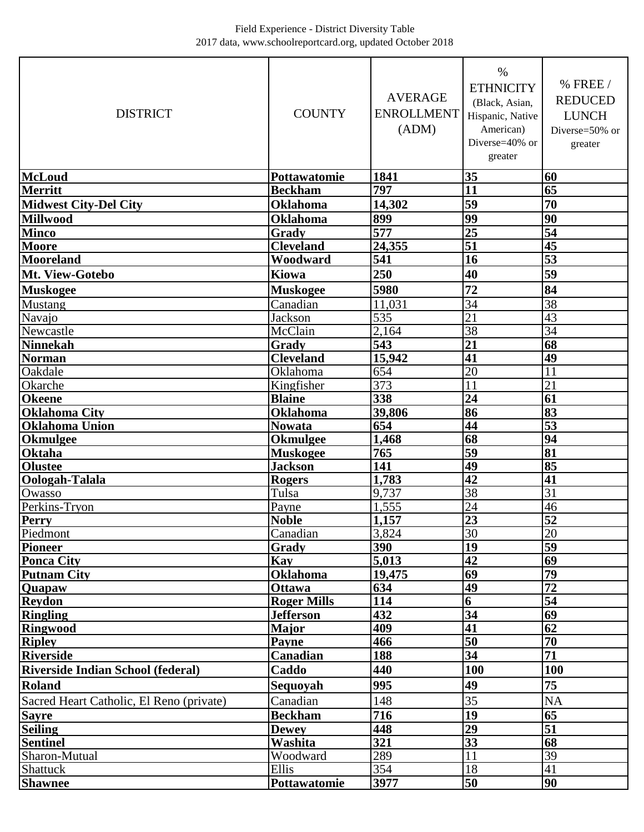| <b>DISTRICT</b>                          | <b>COUNTY</b>      | <b>AVERAGE</b><br><b>ENROLLMENT</b><br>(ADM) | $\%$<br><b>ETHNICITY</b><br>(Black, Asian,<br>Hispanic, Native<br>American)<br>Diverse=40% or<br>greater | % FREE /<br><b>REDUCED</b><br><b>LUNCH</b><br>Diverse=50% or<br>greater |
|------------------------------------------|--------------------|----------------------------------------------|----------------------------------------------------------------------------------------------------------|-------------------------------------------------------------------------|
| <b>McLoud</b>                            | Pottawatomie       | 1841                                         | 35                                                                                                       | 60                                                                      |
| <b>Merritt</b>                           | <b>Beckham</b>     | 797                                          | 11                                                                                                       | 65                                                                      |
| <b>Midwest City-Del City</b>             | <b>Oklahoma</b>    | 14,302                                       | 59                                                                                                       | 70                                                                      |
| <b>Millwood</b>                          | <b>Oklahoma</b>    | 899                                          | 99                                                                                                       | $\overline{90}$                                                         |
| <b>Minco</b>                             | Grady              | 577                                          | $\overline{25}$                                                                                          | $\overline{54}$                                                         |
| <b>Moore</b>                             | <b>Cleveland</b>   | 24,355                                       | $\overline{51}$                                                                                          | 45                                                                      |
| <b>Mooreland</b>                         | Woodward           | 541                                          | 16                                                                                                       | $\overline{53}$                                                         |
| Mt. View-Gotebo                          | <b>Kiowa</b>       | 250                                          | 40                                                                                                       | 59                                                                      |
| <b>Muskogee</b>                          | <b>Muskogee</b>    | 5980                                         | 72                                                                                                       | 84                                                                      |
| Mustang                                  | Canadian           | 11,031                                       | $\overline{34}$                                                                                          | $\overline{38}$                                                         |
| Navajo                                   | <b>Jackson</b>     | 535                                          | 21                                                                                                       | 43                                                                      |
| Newcastle                                | McClain            | 2,164                                        | $\overline{38}$                                                                                          | 34                                                                      |
| <b>Ninnekah</b>                          | Grady              | 543                                          | 21                                                                                                       | 68                                                                      |
| <b>Norman</b>                            | <b>Cleveland</b>   | 15,942                                       | 41                                                                                                       | 49                                                                      |
| Oakdale                                  | Oklahoma           | 654                                          | 20                                                                                                       | $\overline{11}$                                                         |
| Okarche                                  | Kingfisher         | 373                                          | 11                                                                                                       | $\overline{21}$                                                         |
| <b>Okeene</b>                            | <b>Blaine</b>      | 338                                          | 24                                                                                                       | 61                                                                      |
| <b>Oklahoma City</b>                     | <b>Oklahoma</b>    | 39,806                                       | 86                                                                                                       | 83                                                                      |
| <b>Oklahoma Union</b>                    | Nowata             | 654                                          | 44                                                                                                       | $\overline{53}$                                                         |
| <b>Okmulgee</b>                          | <b>Okmulgee</b>    | 1,468                                        | 68                                                                                                       | $\overline{94}$                                                         |
| <b>Oktaha</b>                            | <b>Muskogee</b>    | 765                                          | 59                                                                                                       | 81                                                                      |
| <b>Olustee</b>                           | <b>Jackson</b>     | 141                                          | 49                                                                                                       | 85                                                                      |
| Oologah-Talala                           | <b>Rogers</b>      | 1,783                                        | $\overline{42}$                                                                                          | 41                                                                      |
| Owasso                                   | Tulsa              | 9,737                                        | 38                                                                                                       | $\overline{31}$                                                         |
| Perkins-Tryon                            | Payne              | 1,555                                        | 24                                                                                                       | 46                                                                      |
| Perry                                    | <b>Noble</b>       | 1,157                                        | $\overline{23}$                                                                                          | $\overline{52}$                                                         |
| Piedmont                                 | Canadian           | 3,824                                        | 30                                                                                                       | 20                                                                      |
| Pioneer                                  | Grady              | 390                                          | $\overline{19}$                                                                                          | 59                                                                      |
| <b>Ponca City</b>                        | Kay                | 5,013                                        | $\overline{42}$                                                                                          | $\overline{69}$                                                         |
| <b>Putnam City</b>                       | <b>Oklahoma</b>    | 19,475                                       | 69                                                                                                       | 79                                                                      |
| Quapaw                                   | <b>Ottawa</b>      | 634                                          | 49                                                                                                       | $\overline{72}$                                                         |
| <b>Reydon</b>                            | <b>Roger Mills</b> | 114                                          | 6                                                                                                        | $\overline{54}$                                                         |
| <b>Ringling</b>                          | <b>Jefferson</b>   | 432                                          | $\overline{34}$                                                                                          | 69                                                                      |
| <b>Ringwood</b>                          | <b>Major</b>       | 409                                          | 41                                                                                                       | 62                                                                      |
| <b>Ripley</b>                            | <b>Payne</b>       | 466                                          | 50                                                                                                       | 70                                                                      |
| <b>Riverside</b>                         | Canadian           | 188                                          | $\overline{34}$                                                                                          | $\overline{71}$                                                         |
| <b>Riverside Indian School (federal)</b> | Caddo              | 440                                          | 100                                                                                                      | 100                                                                     |
| <b>Roland</b>                            | Sequoyah           | 995                                          | 49                                                                                                       | 75                                                                      |
| Sacred Heart Catholic, El Reno (private) | Canadian           | 148                                          | 35                                                                                                       | <b>NA</b>                                                               |
| <b>Sayre</b>                             | <b>Beckham</b>     | 716                                          | $\overline{19}$                                                                                          | 65                                                                      |
| <b>Seiling</b>                           | <b>Dewey</b>       | 448                                          | 29                                                                                                       | 51                                                                      |
| <b>Sentinel</b>                          | Washita            | 321                                          | 33                                                                                                       | 68                                                                      |
| Sharon-Mutual                            | Woodward           | 289                                          | 11                                                                                                       | 39                                                                      |
| Shattuck                                 | Ellis              | 354                                          | 18                                                                                                       | 41                                                                      |
| <b>Shawnee</b>                           | Pottawatomie       | 3977                                         | 50                                                                                                       | 90                                                                      |
|                                          |                    |                                              |                                                                                                          |                                                                         |